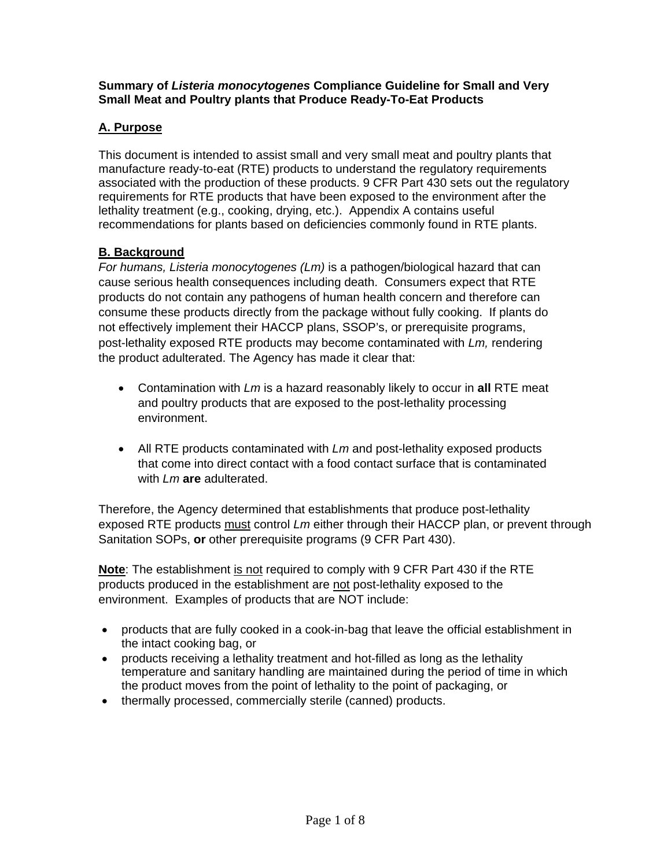#### **Summary of** *Listeria monocytogenes* **Compliance Guideline for Small and Very Small Meat and Poultry plants that Produce Ready-To-Eat Products**

## **A. Purpose**

This document is intended to assist small and very small meat and poultry plants that manufacture ready-to-eat (RTE) products to understand the regulatory requirements associated with the production of these products. 9 CFR Part 430 sets out the regulatory requirements for RTE products that have been exposed to the environment after the lethality treatment (e.g., cooking, drying, etc.). Appendix A contains useful recommendations for plants based on deficiencies commonly found in RTE plants.

## **B. Background**

*For humans, Listeria monocytogenes (Lm)* is a pathogen/biological hazard that can cause serious health consequences including death. Consumers expect that RTE products do not contain any pathogens of human health concern and therefore can consume these products directly from the package without fully cooking. If plants do not effectively implement their HACCP plans, SSOP's, or prerequisite programs, post-lethality exposed RTE products may become contaminated with *Lm,* rendering the product adulterated. The Agency has made it clear that:

- Contamination with *Lm* is a hazard reasonably likely to occur in **all** RTE meat and poultry products that are exposed to the post-lethality processing environment.
- All RTE products contaminated with *Lm* and post-lethality exposed products that come into direct contact with a food contact surface that is contaminated with *Lm* **are** adulterated.

Therefore, the Agency determined that establishments that produce post-lethality exposed RTE products must control *Lm* either through their HACCP plan, or prevent through Sanitation SOPs, **or** other prerequisite programs (9 CFR Part 430).

**Note**: The establishment is not required to comply with 9 CFR Part 430 if the RTE products produced in the establishment are not post-lethality exposed to the environment. Examples of products that are NOT include:

- products that are fully cooked in a cook-in-bag that leave the official establishment in the intact cooking bag, or
- products receiving a lethality treatment and hot-filled as long as the lethality temperature and sanitary handling are maintained during the period of time in which the product moves from the point of lethality to the point of packaging, or
- thermally processed, commercially sterile (canned) products.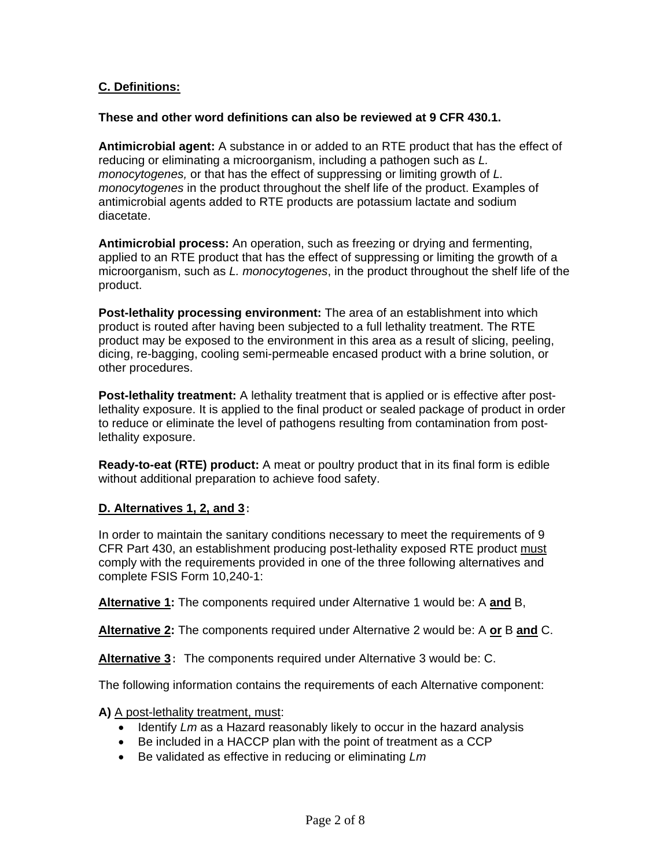### **C. Definitions:**

#### **These and other word definitions can also be reviewed at 9 CFR 430.1.**

**Antimicrobial agent:** A substance in or added to an RTE product that has the effect of reducing or eliminating a microorganism, including a pathogen such as *L. monocytogenes,* or that has the effect of suppressing or limiting growth of *L. monocytogenes* in the product throughout the shelf life of the product. Examples of antimicrobial agents added to RTE products are potassium lactate and sodium diacetate.

**Antimicrobial process:** An operation, such as freezing or drying and fermenting, applied to an RTE product that has the effect of suppressing or limiting the growth of a microorganism, such as *L. monocytogenes*, in the product throughout the shelf life of the product.

**Post-lethality processing environment:** The area of an establishment into which product is routed after having been subjected to a full lethality treatment. The RTE product may be exposed to the environment in this area as a result of slicing, peeling, dicing, re-bagging, cooling semi-permeable encased product with a brine solution, or other procedures.

**Post-lethality treatment:** A lethality treatment that is applied or is effective after postlethality exposure. It is applied to the final product or sealed package of product in order to reduce or eliminate the level of pathogens resulting from contamination from postlethality exposure.

**Ready-to-eat (RTE) product:** A meat or poultry product that in its final form is edible without additional preparation to achieve food safety.

#### **D. Alternatives 1, 2, and 3**:

In order to maintain the sanitary conditions necessary to meet the requirements of 9 CFR Part 430, an establishment producing post-lethality exposed RTE product must comply with the requirements provided in one of the three following alternatives and complete FSIS Form 10,240-1:

**Alternative 1:** The components required under Alternative 1 would be: A **and** B,

**Alternative 2:** The components required under Alternative 2 would be: A **or** B **and** C.

**Alternative 3**: The components required under Alternative 3 would be: C.

The following information contains the requirements of each Alternative component:

**A)** A post-lethality treatment, must:

- Identify *Lm* as a Hazard reasonably likely to occur in the hazard analysis
- Be included in a HACCP plan with the point of treatment as a CCP
- Be validated as effective in reducing or eliminating *Lm*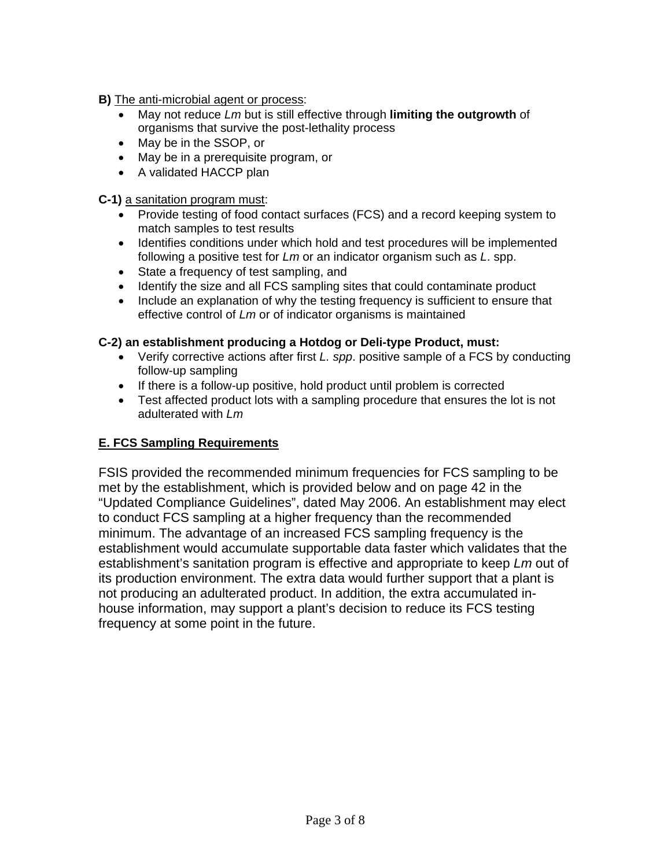**B)** The anti-microbial agent or process:

- May not reduce *Lm* but is still effective through **limiting the outgrowth** of organisms that survive the post-lethality process
- May be in the SSOP, or
- May be in a prerequisite program, or
- A validated HACCP plan

**C-1)** a sanitation program must:

- Provide testing of food contact surfaces (FCS) and a record keeping system to match samples to test results
- Identifies conditions under which hold and test procedures will be implemented following a positive test for *Lm* or an indicator organism such as *L*. spp.
- State a frequency of test sampling, and
- Identify the size and all FCS sampling sites that could contaminate product
- Include an explanation of why the testing frequency is sufficient to ensure that effective control of *Lm* or of indicator organisms is maintained

#### **C-2) an establishment producing a Hotdog or Deli-type Product, must:**

- Verify corrective actions after first *L. spp*. positive sample of a FCS by conducting follow-up sampling
- If there is a follow-up positive, hold product until problem is corrected
- Test affected product lots with a sampling procedure that ensures the lot is not adulterated with *Lm*

### **E. FCS Sampling Requirements**

FSIS provided the recommended minimum frequencies for FCS sampling to be met by the establishment, which is provided below and on page 42 in the "Updated Compliance Guidelines", dated May 2006. An establishment may elect to conduct FCS sampling at a higher frequency than the recommended minimum. The advantage of an increased FCS sampling frequency is the establishment would accumulate supportable data faster which validates that the establishment's sanitation program is effective and appropriate to keep *Lm* out of its production environment. The extra data would further support that a plant is not producing an adulterated product. In addition, the extra accumulated inhouse information, may support a plant's decision to reduce its FCS testing frequency at some point in the future.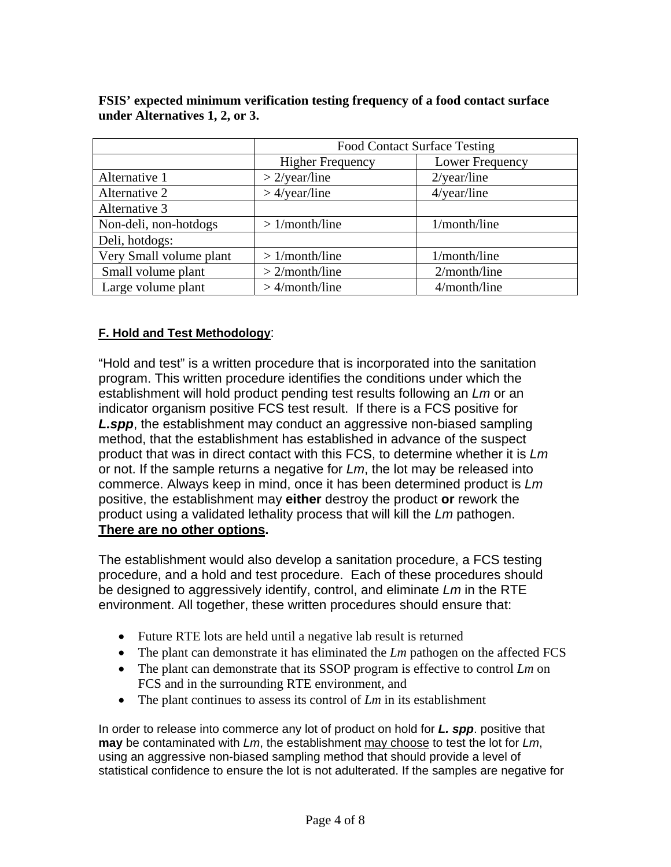|                         | <b>Food Contact Surface Testing</b> |                 |
|-------------------------|-------------------------------------|-----------------|
|                         | <b>Higher Frequency</b>             | Lower Frequency |
| Alternative 1           | $>2$ /year/line                     | $2$ /year/line  |
| Alternative 2           | $>4$ /year/line                     | $4$ /year/line  |
| Alternative 3           |                                     |                 |
| Non-deli, non-hotdogs   | $>1$ /month/line                    | 1/month/line    |
| Deli, hotdogs:          |                                     |                 |
| Very Small volume plant | $>1$ /month/line                    | 1/month/line    |
| Small volume plant      | $>2$ /month/line                    | 2/month/line    |
| Large volume plant      | $>$ 4/month/line                    | 4/month/line    |

**FSIS' expected minimum verification testing frequency of a food contact surface under Alternatives 1, 2, or 3.** 

## **F. Hold and Test Methodology**:

"Hold and test" is a written procedure that is incorporated into the sanitation program. This written procedure identifies the conditions under which the establishment will hold product pending test results following an *Lm* or an indicator organism positive FCS test result. If there is a FCS positive for *L.spp*, the establishment may conduct an aggressive non-biased sampling method, that the establishment has established in advance of the suspect product that was in direct contact with this FCS, to determine whether it is *Lm* or not. If the sample returns a negative for *Lm*, the lot may be released into commerce. Always keep in mind, once it has been determined product is *Lm* positive, the establishment may **either** destroy the product **or** rework the product using a validated lethality process that will kill the *Lm* pathogen. **There are no other options.** 

The establishment would also develop a sanitation procedure, a FCS testing procedure, and a hold and test procedure. Each of these procedures should be designed to aggressively identify, control, and eliminate *Lm* in the RTE environment. All together, these written procedures should ensure that:

- Future RTE lots are held until a negative lab result is returned
- The plant can demonstrate it has eliminated the *Lm* pathogen on the affected FCS
- The plant can demonstrate that its SSOP program is effective to control *Lm* on FCS and in the surrounding RTE environment, and
- The plant continues to assess its control of *Lm* in its establishment

In order to release into commerce any lot of product on hold for *L. spp*. positive that **may** be contaminated with *Lm*, the establishment may choose to test the lot for *Lm*, using an aggressive non-biased sampling method that should provide a level of statistical confidence to ensure the lot is not adulterated. If the samples are negative for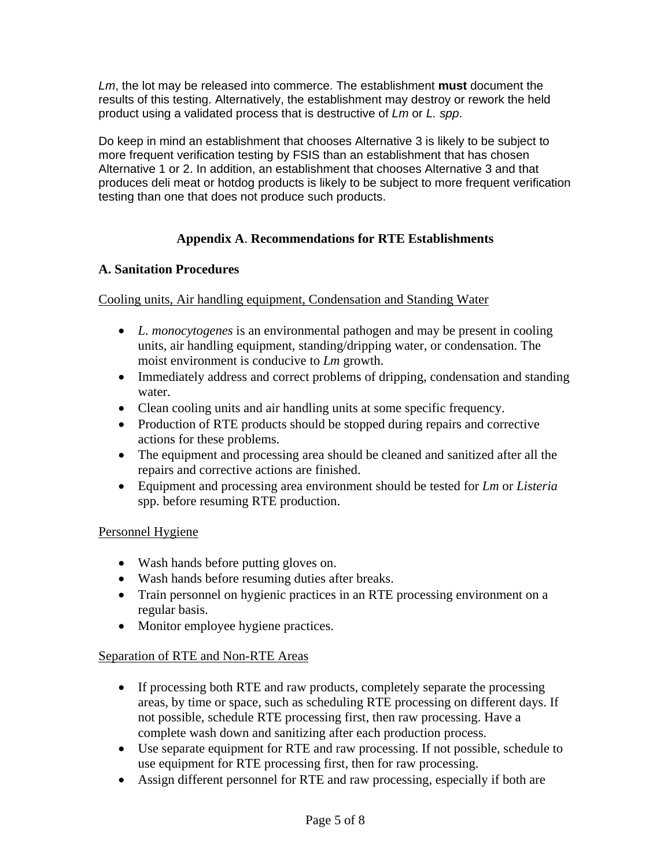*Lm*, the lot may be released into commerce. The establishment **must** document the results of this testing. Alternatively, the establishment may destroy or rework the held product using a validated process that is destructive of *Lm* or *L. spp*.

Do keep in mind an establishment that chooses Alternative 3 is likely to be subject to more frequent verification testing by FSIS than an establishment that has chosen Alternative 1 or 2. In addition, an establishment that chooses Alternative 3 and that produces deli meat or hotdog products is likely to be subject to more frequent verification testing than one that does not produce such products.

## **Appendix A**. **Recommendations for RTE Establishments**

#### **A. Sanitation Procedures**

#### Cooling units, Air handling equipment, Condensation and Standing Water

- *L. monocytogenes* is an environmental pathogen and may be present in cooling units, air handling equipment, standing/dripping water, or condensation. The moist environment is conducive to *Lm* growth.
- Immediately address and correct problems of dripping, condensation and standing water.
- Clean cooling units and air handling units at some specific frequency.
- Production of RTE products should be stopped during repairs and corrective actions for these problems.
- The equipment and processing area should be cleaned and sanitized after all the repairs and corrective actions are finished.
- Equipment and processing area environment should be tested for *Lm* or *Listeria* spp. before resuming RTE production.

#### Personnel Hygiene

- Wash hands before putting gloves on.
- Wash hands before resuming duties after breaks.
- Train personnel on hygienic practices in an RTE processing environment on a regular basis.
- Monitor employee hygiene practices.

### Separation of RTE and Non-RTE Areas

- If processing both RTE and raw products, completely separate the processing areas, by time or space, such as scheduling RTE processing on different days. If not possible, schedule RTE processing first, then raw processing. Have a complete wash down and sanitizing after each production process.
- Use separate equipment for RTE and raw processing. If not possible, schedule to use equipment for RTE processing first, then for raw processing.
- Assign different personnel for RTE and raw processing, especially if both are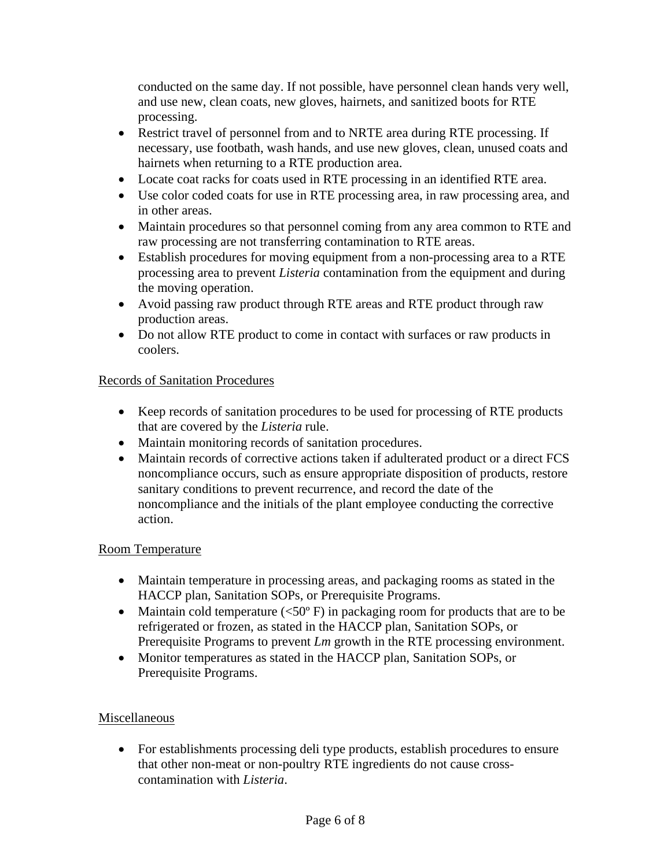conducted on the same day. If not possible, have personnel clean hands very well, and use new, clean coats, new gloves, hairnets, and sanitized boots for RTE processing.

- Restrict travel of personnel from and to NRTE area during RTE processing. If necessary, use footbath, wash hands, and use new gloves, clean, unused coats and hairnets when returning to a RTE production area.
- Locate coat racks for coats used in RTE processing in an identified RTE area.
- Use color coded coats for use in RTE processing area, in raw processing area, and in other areas.
- Maintain procedures so that personnel coming from any area common to RTE and raw processing are not transferring contamination to RTE areas.
- Establish procedures for moving equipment from a non-processing area to a RTE processing area to prevent *Listeria* contamination from the equipment and during the moving operation.
- Avoid passing raw product through RTE areas and RTE product through raw production areas.
- Do not allow RTE product to come in contact with surfaces or raw products in coolers.

## Records of Sanitation Procedures

- Keep records of sanitation procedures to be used for processing of RTE products that are covered by the *Listeria* rule.
- Maintain monitoring records of sanitation procedures.
- Maintain records of corrective actions taken if adulterated product or a direct FCS noncompliance occurs, such as ensure appropriate disposition of products, restore sanitary conditions to prevent recurrence, and record the date of the noncompliance and the initials of the plant employee conducting the corrective action.

### Room Temperature

- Maintain temperature in processing areas, and packaging rooms as stated in the HACCP plan, Sanitation SOPs, or Prerequisite Programs.
- Maintain cold temperature  $(<50^{\circ}$  F) in packaging room for products that are to be refrigerated or frozen, as stated in the HACCP plan, Sanitation SOPs, or Prerequisite Programs to prevent *Lm* growth in the RTE processing environment.
- Monitor temperatures as stated in the HACCP plan, Sanitation SOPs, or Prerequisite Programs.

### Miscellaneous

• For establishments processing deli type products, establish procedures to ensure that other non-meat or non-poultry RTE ingredients do not cause crosscontamination with *Listeria*.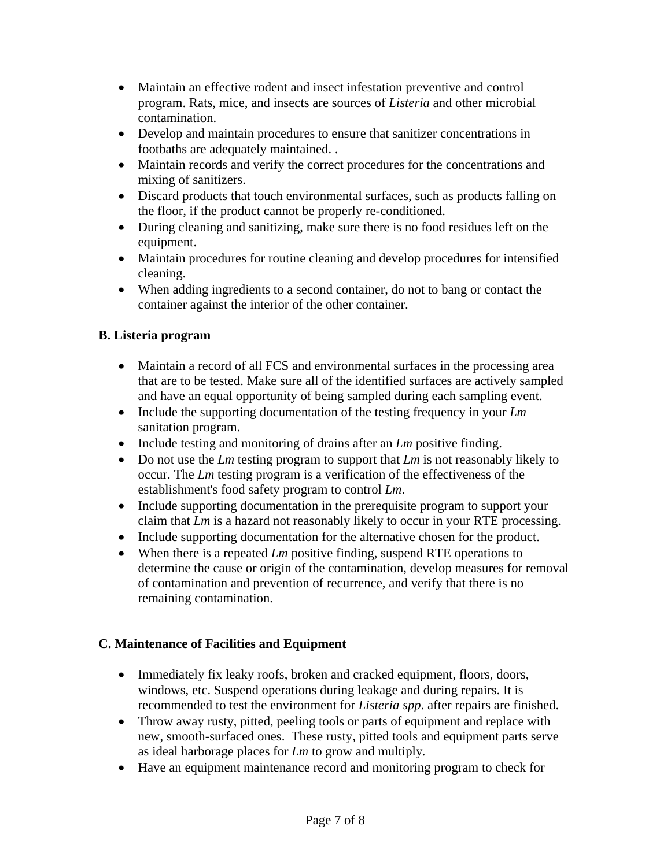- Maintain an effective rodent and insect infestation preventive and control program. Rats, mice, and insects are sources of *Listeria* and other microbial contamination.
- Develop and maintain procedures to ensure that sanitizer concentrations in footbaths are adequately maintained. .
- Maintain records and verify the correct procedures for the concentrations and mixing of sanitizers.
- Discard products that touch environmental surfaces, such as products falling on the floor, if the product cannot be properly re-conditioned.
- During cleaning and sanitizing, make sure there is no food residues left on the equipment.
- Maintain procedures for routine cleaning and develop procedures for intensified cleaning.
- When adding ingredients to a second container, do not to bang or contact the container against the interior of the other container.

# **B. Listeria program**

- Maintain a record of all FCS and environmental surfaces in the processing area that are to be tested. Make sure all of the identified surfaces are actively sampled and have an equal opportunity of being sampled during each sampling event.
- Include the supporting documentation of the testing frequency in your *Lm* sanitation program.
- Include testing and monitoring of drains after an *Lm* positive finding.
- Do not use the *Lm* testing program to support that *Lm* is not reasonably likely to occur. The *Lm* testing program is a verification of the effectiveness of the establishment's food safety program to control *Lm*.
- Include supporting documentation in the prerequisite program to support your claim that *Lm* is a hazard not reasonably likely to occur in your RTE processing.
- Include supporting documentation for the alternative chosen for the product.
- When there is a repeated *Lm* positive finding, suspend RTE operations to determine the cause or origin of the contamination, develop measures for removal of contamination and prevention of recurrence, and verify that there is no remaining contamination.

## **C. Maintenance of Facilities and Equipment**

- Immediately fix leaky roofs, broken and cracked equipment, floors, doors, windows, etc. Suspend operations during leakage and during repairs. It is recommended to test the environment for *Listeria spp*. after repairs are finished.
- Throw away rusty, pitted, peeling tools or parts of equipment and replace with new, smooth-surfaced ones. These rusty, pitted tools and equipment parts serve as ideal harborage places for *Lm* to grow and multiply*.*
- Have an equipment maintenance record and monitoring program to check for